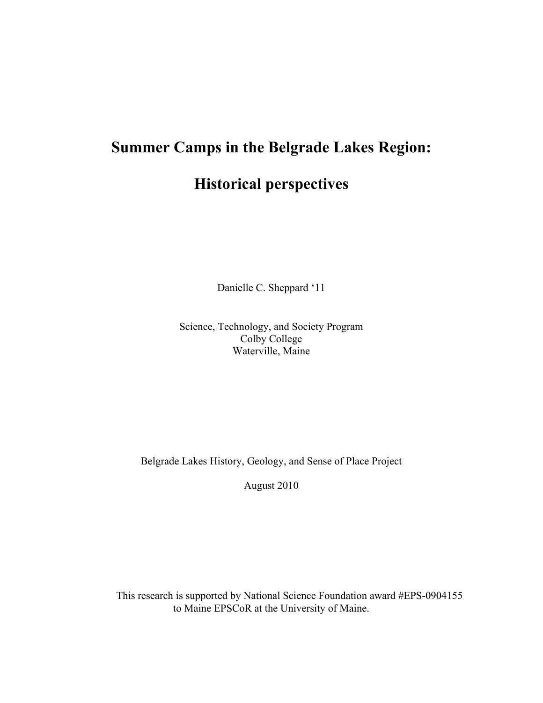# **Summer Camps in the Belgrade Lakes Region: Historical perspectives**

Danielle C. Sheppard '11

Science, Technology, and Society Program Colby College Waterville, Maine

Belgrade Lakes History, Geology, and Sense of Place Project

August 2010

This research is supported by National Science Foundation award #EPS-0904155 to Maine EPSCoR at the University of Maine.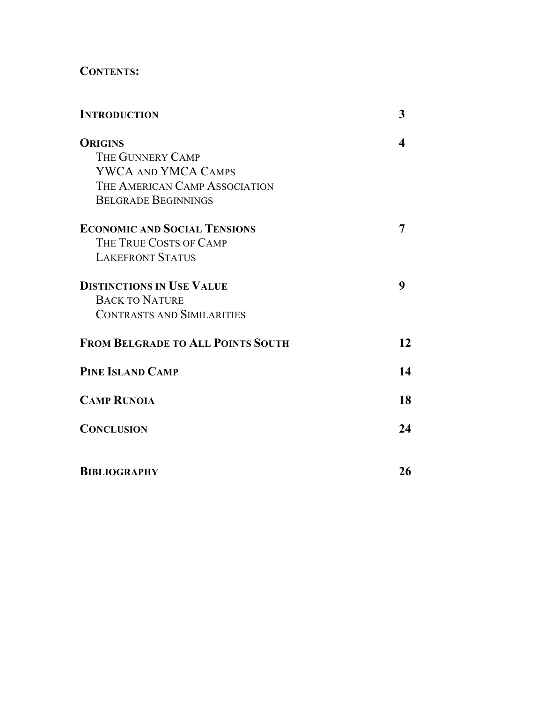# **CONTENTS:**

| <b>INTRODUCTION</b>                      | 3  |
|------------------------------------------|----|
| <b>ORIGINS</b>                           |    |
| THE GUNNERY CAMP                         |    |
| <b>YWCA AND YMCA CAMPS</b>               |    |
| THE AMERICAN CAMP ASSOCIATION            |    |
| <b>BELGRADE BEGINNINGS</b>               |    |
| <b>ECONOMIC AND SOCIAL TENSIONS</b>      | 7  |
| THE TRUE COSTS OF CAMP                   |    |
| <b>LAKEFRONT STATUS</b>                  |    |
| <b>DISTINCTIONS IN USE VALUE</b>         | 9  |
| <b>BACK TO NATURE</b>                    |    |
| <b>CONTRASTS AND SIMILARITIES</b>        |    |
| <b>FROM BELGRADE TO ALL POINTS SOUTH</b> | 12 |
| <b>PINE ISLAND CAMP</b>                  | 14 |
| <b>CAMP RUNOIA</b>                       | 18 |
| <b>CONCLUSION</b>                        | 24 |
| <b>BIBLIOGRAPHY</b>                      | 26 |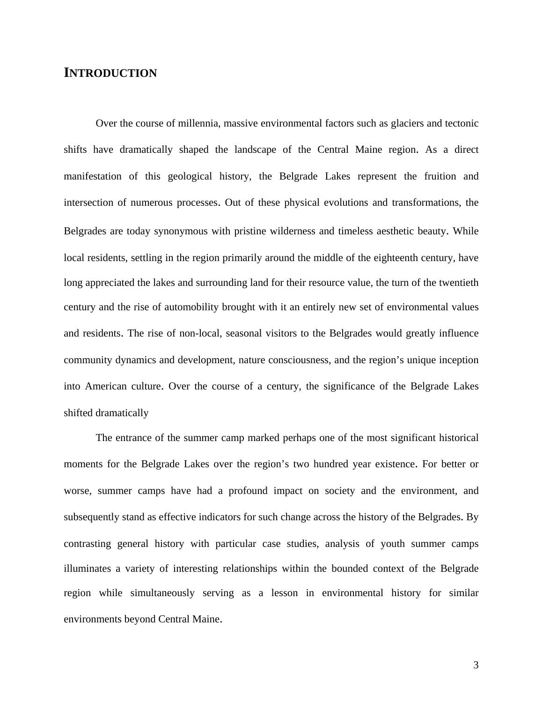## **INTRODUCTION**

 Over the course of millennia, massive environmental factors such as glaciers and tectonic shifts have dramatically shaped the landscape of the Central Maine region. As a direct manifestation of this geological history, the Belgrade Lakes represent the fruition and intersection of numerous processes. Out of these physical evolutions and transformations, the Belgrades are today synonymous with pristine wilderness and timeless aesthetic beauty. While local residents, settling in the region primarily around the middle of the eighteenth century, have long appreciated the lakes and surrounding land for their resource value, the turn of the twentieth century and the rise of automobility brought with it an entirely new set of environmental values and residents. The rise of non-local, seasonal visitors to the Belgrades would greatly influence community dynamics and development, nature consciousness, and the region's unique inception into American culture. Over the course of a century, the significance of the Belgrade Lakes shifted dramatically

 The entrance of the summer camp marked perhaps one of the most significant historical moments for the Belgrade Lakes over the region's two hundred year existence. For better or worse, summer camps have had a profound impact on society and the environment, and subsequently stand as effective indicators for such change across the history of the Belgrades. By contrasting general history with particular case studies, analysis of youth summer camps illuminates a variety of interesting relationships within the bounded context of the Belgrade region while simultaneously serving as a lesson in environmental history for similar environments beyond Central Maine.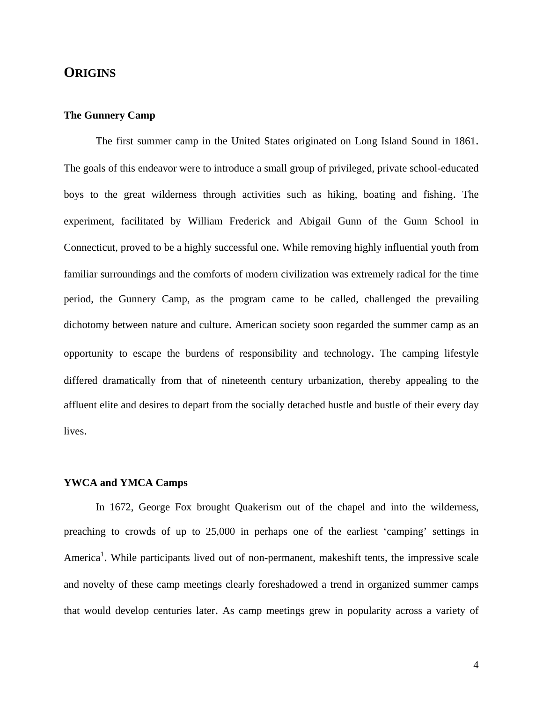## **ORIGINS**

#### **The Gunnery Camp**

 The first summer camp in the United States originated on Long Island Sound in 1861. The goals of this endeavor were to introduce a small group of privileged, private school-educated boys to the great wilderness through activities such as hiking, boating and fishing. The experiment, facilitated by William Frederick and Abigail Gunn of the Gunn School in Connecticut, proved to be a highly successful one. While removing highly influential youth from familiar surroundings and the comforts of modern civilization was extremely radical for the time period, the Gunnery Camp, as the program came to be called, challenged the prevailing dichotomy between nature and culture. American society soon regarded the summer camp as an opportunity to escape the burdens of responsibility and technology. The camping lifestyle differed dramatically from that of nineteenth century urbanization, thereby appealing to the affluent elite and desires to depart from the socially detached hustle and bustle of their every day lives.

#### **YWCA and YMCA Camps**

 In 1672, George Fox brought Quakerism out of the chapel and into the wilderness, preaching to crowds of up to 25,000 in perhaps one of the earliest 'camping' settings in America<sup>1</sup>. While participants lived out of non-permanent, makeshift tents, the impressive scale and novelty of these camp meetings clearly foreshadowed a trend in organized summer camps that would develop centuries later. As camp meetings grew in popularity across a variety of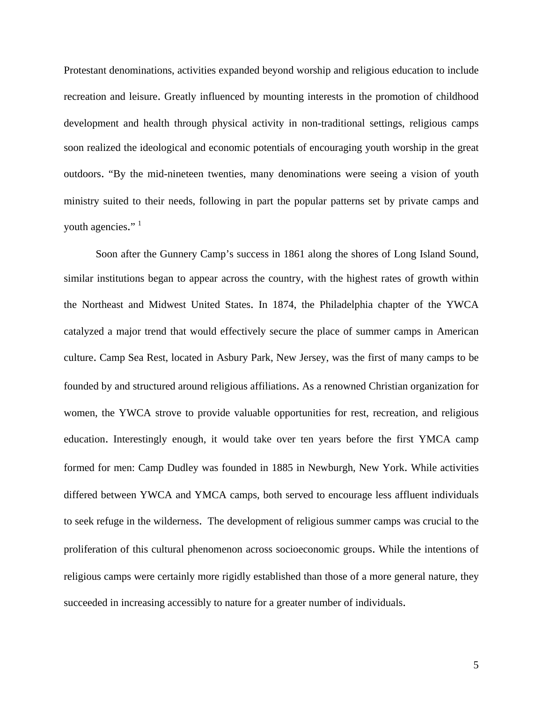Protestant denominations, activities expanded beyond worship and religious education to include recreation and leisure. Greatly influenced by mounting interests in the promotion of childhood development and health through physical activity in non-traditional settings, religious camps soon realized the ideological and economic potentials of encouraging youth worship in the great outdoors. "By the mid-nineteen twenties, many denominations were seeing a vision of youth ministry suited to their needs, following in part the popular patterns set by private camps and youth agencies." $<sup>1</sup>$ </sup>

 Soon after the Gunnery Camp's success in 1861 along the shores of Long Island Sound, similar institutions began to appear across the country, with the highest rates of growth within the Northeast and Midwest United States. In 1874, the Philadelphia chapter of the YWCA catalyzed a major trend that would effectively secure the place of summer camps in American culture. Camp Sea Rest, located in Asbury Park, New Jersey, was the first of many camps to be founded by and structured around religious affiliations. As a renowned Christian organization for women, the YWCA strove to provide valuable opportunities for rest, recreation, and religious education. Interestingly enough, it would take over ten years before the first YMCA camp formed for men: Camp Dudley was founded in 1885 in Newburgh, New York. While activities differed between YWCA and YMCA camps, both served to encourage less affluent individuals to seek refuge in the wilderness. The development of religious summer camps was crucial to the proliferation of this cultural phenomenon across socioeconomic groups. While the intentions of religious camps were certainly more rigidly established than those of a more general nature, they succeeded in increasing accessibly to nature for a greater number of individuals.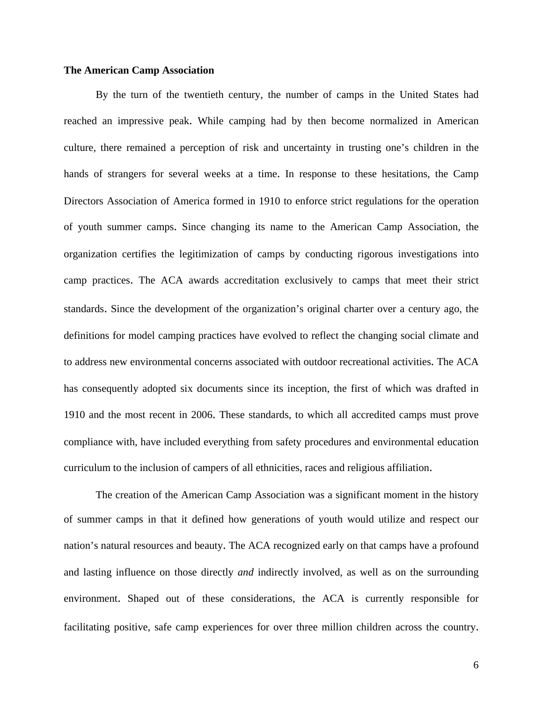#### **The American Camp Association**

 By the turn of the twentieth century, the number of camps in the United States had reached an impressive peak. While camping had by then become normalized in American culture, there remained a perception of risk and uncertainty in trusting one's children in the hands of strangers for several weeks at a time. In response to these hesitations, the Camp Directors Association of America formed in 1910 to enforce strict regulations for the operation of youth summer camps. Since changing its name to the American Camp Association, the organization certifies the legitimization of camps by conducting rigorous investigations into camp practices. The ACA awards accreditation exclusively to camps that meet their strict standards. Since the development of the organization's original charter over a century ago, the definitions for model camping practices have evolved to reflect the changing social climate and to address new environmental concerns associated with outdoor recreational activities. The ACA has consequently adopted six documents since its inception, the first of which was drafted in 1910 and the most recent in 2006. These standards, to which all accredited camps must prove compliance with, have included everything from safety procedures and environmental education curriculum to the inclusion of campers of all ethnicities, races and religious affiliation.

 The creation of the American Camp Association was a significant moment in the history of summer camps in that it defined how generations of youth would utilize and respect our nation's natural resources and beauty. The ACA recognized early on that camps have a profound and lasting influence on those directly *and* indirectly involved, as well as on the surrounding environment. Shaped out of these considerations, the ACA is currently responsible for facilitating positive, safe camp experiences for over three million children across the country.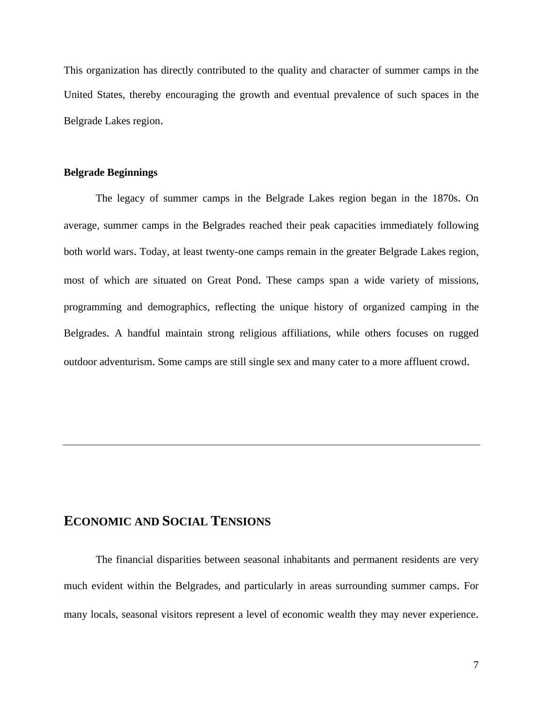This organization has directly contributed to the quality and character of summer camps in the United States, thereby encouraging the growth and eventual prevalence of such spaces in the Belgrade Lakes region.

## **Belgrade Beginnings**

 The legacy of summer camps in the Belgrade Lakes region began in the 1870s. On average, summer camps in the Belgrades reached their peak capacities immediately following both world wars. Today, at least twenty-one camps remain in the greater Belgrade Lakes region, most of which are situated on Great Pond. These camps span a wide variety of missions, programming and demographics, reflecting the unique history of organized camping in the Belgrades. A handful maintain strong religious affiliations, while others focuses on rugged outdoor adventurism. Some camps are still single sex and many cater to a more affluent crowd.

## **ECONOMIC AND SOCIAL TENSIONS**

 The financial disparities between seasonal inhabitants and permanent residents are very much evident within the Belgrades, and particularly in areas surrounding summer camps. For many locals, seasonal visitors represent a level of economic wealth they may never experience.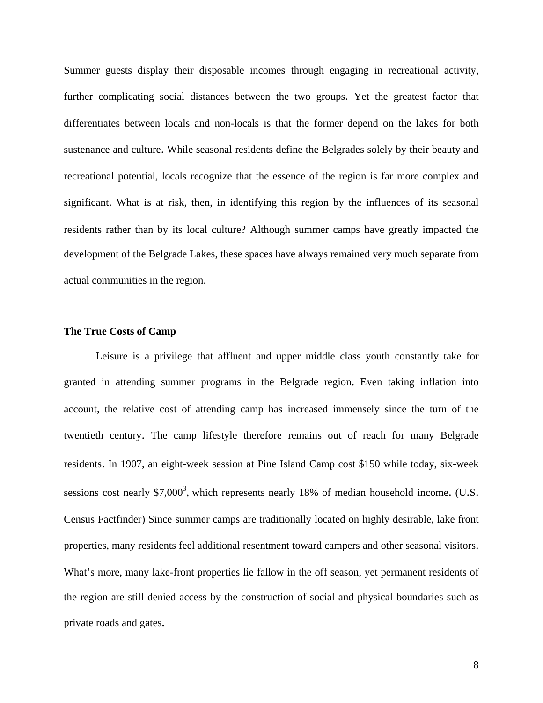Summer guests display their disposable incomes through engaging in recreational activity, further complicating social distances between the two groups. Yet the greatest factor that differentiates between locals and non-locals is that the former depend on the lakes for both sustenance and culture. While seasonal residents define the Belgrades solely by their beauty and recreational potential, locals recognize that the essence of the region is far more complex and significant. What is at risk, then, in identifying this region by the influences of its seasonal residents rather than by its local culture? Although summer camps have greatly impacted the development of the Belgrade Lakes, these spaces have always remained very much separate from actual communities in the region.

#### **The True Costs of Camp**

 Leisure is a privilege that affluent and upper middle class youth constantly take for granted in attending summer programs in the Belgrade region. Even taking inflation into account, the relative cost of attending camp has increased immensely since the turn of the twentieth century. The camp lifestyle therefore remains out of reach for many Belgrade residents. In 1907, an eight-week session at Pine Island Camp cost \$150 while today, six-week sessions cost nearly \$7,000<sup>3</sup>, which represents nearly 18% of median household income. (U.S. Census Factfinder) Since summer camps are traditionally located on highly desirable, lake front properties, many residents feel additional resentment toward campers and other seasonal visitors. What's more, many lake-front properties lie fallow in the off season, yet permanent residents of the region are still denied access by the construction of social and physical boundaries such as private roads and gates.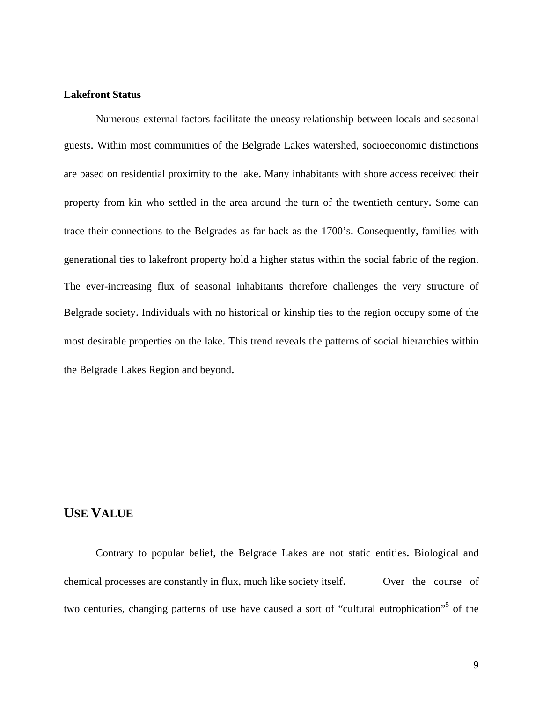### **Lakefront Status**

 Numerous external factors facilitate the uneasy relationship between locals and seasonal guests. Within most communities of the Belgrade Lakes watershed, socioeconomic distinctions are based on residential proximity to the lake. Many inhabitants with shore access received their property from kin who settled in the area around the turn of the twentieth century. Some can trace their connections to the Belgrades as far back as the 1700's. Consequently, families with generational ties to lakefront property hold a higher status within the social fabric of the region. The ever-increasing flux of seasonal inhabitants therefore challenges the very structure of Belgrade society. Individuals with no historical or kinship ties to the region occupy some of the most desirable properties on the lake. This trend reveals the patterns of social hierarchies within the Belgrade Lakes Region and beyond.

## **USE VALUE**

 Contrary to popular belief, the Belgrade Lakes are not static entities. Biological and chemical processes are constantly in flux, much like society itself. Over the course of two centuries, changing patterns of use have caused a sort of "cultural eutrophication"<sup>5</sup> of the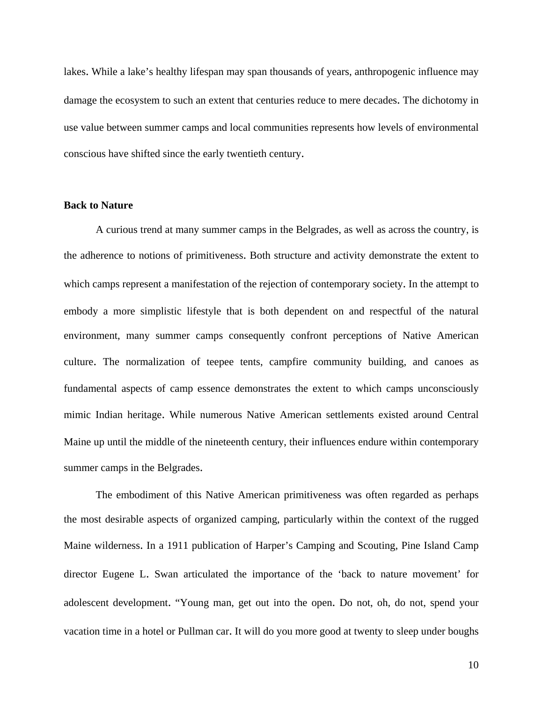lakes. While a lake's healthy lifespan may span thousands of years, anthropogenic influence may damage the ecosystem to such an extent that centuries reduce to mere decades. The dichotomy in use value between summer camps and local communities represents how levels of environmental conscious have shifted since the early twentieth century.

## **Back to Nature**

 A curious trend at many summer camps in the Belgrades, as well as across the country, is the adherence to notions of primitiveness. Both structure and activity demonstrate the extent to which camps represent a manifestation of the rejection of contemporary society. In the attempt to embody a more simplistic lifestyle that is both dependent on and respectful of the natural environment, many summer camps consequently confront perceptions of Native American culture. The normalization of teepee tents, campfire community building, and canoes as fundamental aspects of camp essence demonstrates the extent to which camps unconsciously mimic Indian heritage. While numerous Native American settlements existed around Central Maine up until the middle of the nineteenth century, their influences endure within contemporary summer camps in the Belgrades.

 The embodiment of this Native American primitiveness was often regarded as perhaps the most desirable aspects of organized camping, particularly within the context of the rugged Maine wilderness. In a 1911 publication of Harper's Camping and Scouting, Pine Island Camp director Eugene L. Swan articulated the importance of the 'back to nature movement' for adolescent development. "Young man, get out into the open. Do not, oh, do not, spend your vacation time in a hotel or Pullman car. It will do you more good at twenty to sleep under boughs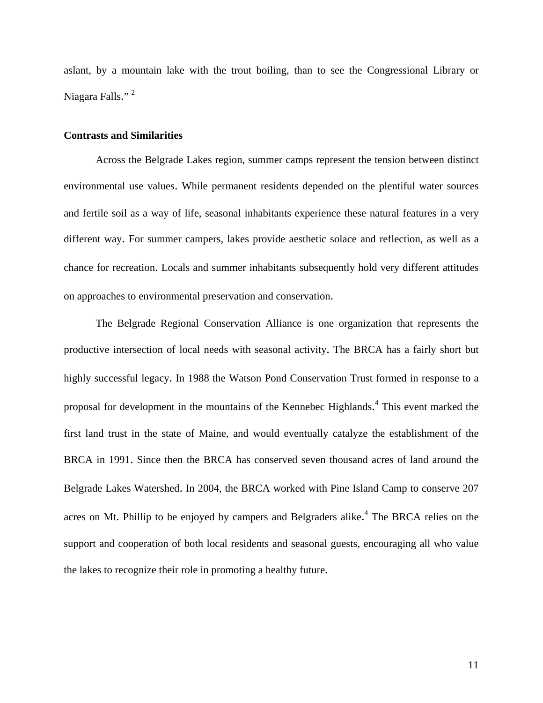aslant, by a mountain lake with the trout boiling, than to see the Congressional Library or Niagara Falls."<sup>2</sup>

#### **Contrasts and Similarities**

 Across the Belgrade Lakes region, summer camps represent the tension between distinct environmental use values. While permanent residents depended on the plentiful water sources and fertile soil as a way of life, seasonal inhabitants experience these natural features in a very different way. For summer campers, lakes provide aesthetic solace and reflection, as well as a chance for recreation. Locals and summer inhabitants subsequently hold very different attitudes on approaches to environmental preservation and conservation.

 The Belgrade Regional Conservation Alliance is one organization that represents the productive intersection of local needs with seasonal activity. The BRCA has a fairly short but highly successful legacy. In 1988 the Watson Pond Conservation Trust formed in response to a proposal for development in the mountains of the Kennebec Highlands. 4 This event marked the first land trust in the state of Maine, and would eventually catalyze the establishment of the BRCA in 1991. Since then the BRCA has conserved seven thousand acres of land around the Belgrade Lakes Watershed. In 2004, the BRCA worked with Pine Island Camp to conserve 207 acres on Mt. Phillip to be enjoyed by campers and Belgraders alike.<sup>4</sup> The BRCA relies on the support and cooperation of both local residents and seasonal guests, encouraging all who value the lakes to recognize their role in promoting a healthy future.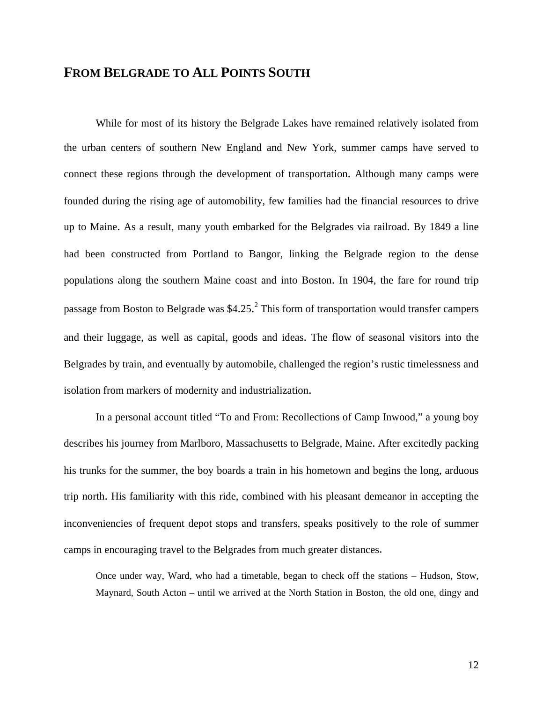# **FROM BELGRADE TO ALL POINTS SOUTH**

 While for most of its history the Belgrade Lakes have remained relatively isolated from the urban centers of southern New England and New York, summer camps have served to connect these regions through the development of transportation. Although many camps were founded during the rising age of automobility, few families had the financial resources to drive up to Maine. As a result, many youth embarked for the Belgrades via railroad. By 1849 a line had been constructed from Portland to Bangor, linking the Belgrade region to the dense populations along the southern Maine coast and into Boston. In 1904, the fare for round trip passage from Boston to Belgrade was  $$4.25<sup>2</sup>$  This form of transportation would transfer campers and their luggage, as well as capital, goods and ideas. The flow of seasonal visitors into the Belgrades by train, and eventually by automobile, challenged the region's rustic timelessness and isolation from markers of modernity and industrialization.

 In a personal account titled "To and From: Recollections of Camp Inwood," a young boy describes his journey from Marlboro, Massachusetts to Belgrade, Maine. After excitedly packing his trunks for the summer, the boy boards a train in his hometown and begins the long, arduous trip north. His familiarity with this ride, combined with his pleasant demeanor in accepting the inconveniencies of frequent depot stops and transfers, speaks positively to the role of summer camps in encouraging travel to the Belgrades from much greater distances.

 Once under way, Ward, who had a timetable, began to check off the stations – Hudson, Stow, Maynard, South Acton – until we arrived at the North Station in Boston, the old one, dingy and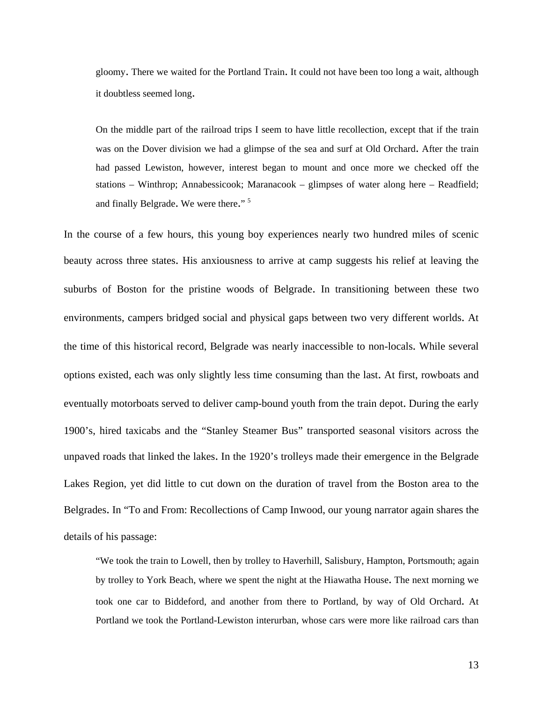gloomy. There we waited for the Portland Train. It could not have been too long a wait, although it doubtless seemed long.

 On the middle part of the railroad trips I seem to have little recollection, except that if the train was on the Dover division we had a glimpse of the sea and surf at Old Orchard. After the train had passed Lewiston, however, interest began to mount and once more we checked off the stations – Winthrop; Annabessicook; Maranacook – glimpses of water along here – Readfield; and finally Belgrade. We were there."<sup>5</sup>

In the course of a few hours, this young boy experiences nearly two hundred miles of scenic beauty across three states. His anxiousness to arrive at camp suggests his relief at leaving the suburbs of Boston for the pristine woods of Belgrade. In transitioning between these two environments, campers bridged social and physical gaps between two very different worlds. At the time of this historical record, Belgrade was nearly inaccessible to non-locals. While several options existed, each was only slightly less time consuming than the last. At first, rowboats and eventually motorboats served to deliver camp-bound youth from the train depot. During the early 1900's, hired taxicabs and the "Stanley Steamer Bus" transported seasonal visitors across the unpaved roads that linked the lakes. In the 1920's trolleys made their emergence in the Belgrade Lakes Region, yet did little to cut down on the duration of travel from the Boston area to the Belgrades. In "To and From: Recollections of Camp Inwood, our young narrator again shares the details of his passage:

 "We took the train to Lowell, then by trolley to Haverhill, Salisbury, Hampton, Portsmouth; again by trolley to York Beach, where we spent the night at the Hiawatha House. The next morning we took one car to Biddeford, and another from there to Portland, by way of Old Orchard. At Portland we took the Portland-Lewiston interurban, whose cars were more like railroad cars than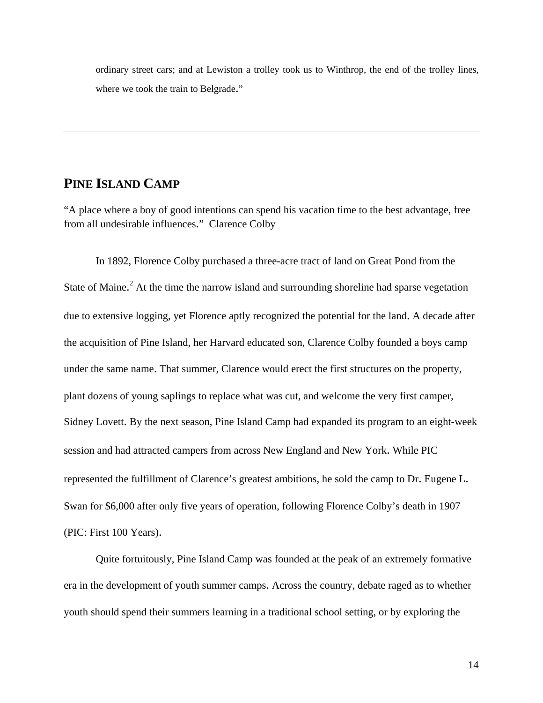ordinary street cars; and at Lewiston a trolley took us to Winthrop, the end of the trolley lines, where we took the train to Belgrade."

## **PINE ISLAND CAMP**

"A place where a boy of good intentions can spend his vacation time to the best advantage, free from all undesirable influences." Clarence Colby

In 1892, Florence Colby purchased a three-acre tract of land on Great Pond from the State of Maine.<sup>2</sup> At the time the narrow island and surrounding shoreline had sparse vegetation due to extensive logging, yet Florence aptly recognized the potential for the land. A decade after the acquisition of Pine Island, her Harvard educated son, Clarence Colby founded a boys camp under the same name. That summer, Clarence would erect the first structures on the property, plant dozens of young saplings to replace what was cut, and welcome the very first camper, Sidney Lovett. By the next season, Pine Island Camp had expanded its program to an eight-week session and had attracted campers from across New England and New York. While PIC represented the fulfillment of Clarence's greatest ambitions, he sold the camp to Dr. Eugene L. Swan for \$6,000 after only five years of operation, following Florence Colby's death in 1907 (PIC: First 100 Years).

Quite fortuitously, Pine Island Camp was founded at the peak of an extremely formative era in the development of youth summer camps. Across the country, debate raged as to whether youth should spend their summers learning in a traditional school setting, or by exploring the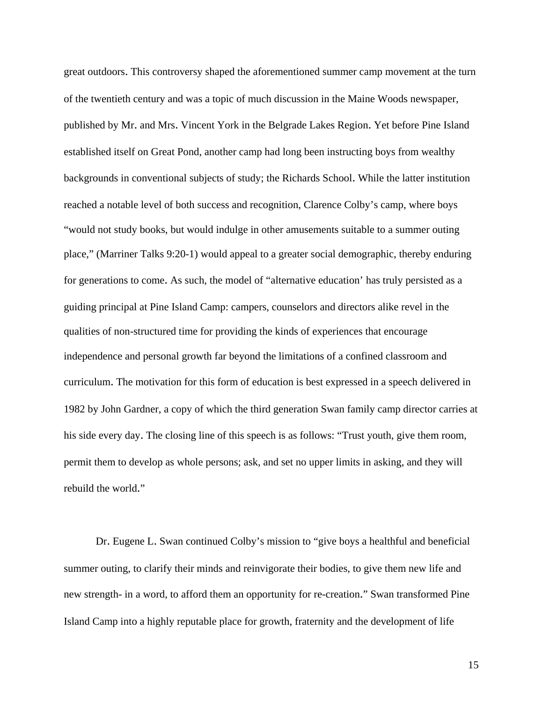great outdoors. This controversy shaped the aforementioned summer camp movement at the turn of the twentieth century and was a topic of much discussion in the Maine Woods newspaper, published by Mr. and Mrs. Vincent York in the Belgrade Lakes Region. Yet before Pine Island established itself on Great Pond, another camp had long been instructing boys from wealthy backgrounds in conventional subjects of study; the Richards School. While the latter institution reached a notable level of both success and recognition, Clarence Colby's camp, where boys "would not study books, but would indulge in other amusements suitable to a summer outing place," (Marriner Talks 9:20-1) would appeal to a greater social demographic, thereby enduring for generations to come. As such, the model of "alternative education' has truly persisted as a guiding principal at Pine Island Camp: campers, counselors and directors alike revel in the qualities of non-structured time for providing the kinds of experiences that encourage independence and personal growth far beyond the limitations of a confined classroom and curriculum. The motivation for this form of education is best expressed in a speech delivered in 1982 by John Gardner, a copy of which the third generation Swan family camp director carries at his side every day. The closing line of this speech is as follows: "Trust youth, give them room, permit them to develop as whole persons; ask, and set no upper limits in asking, and they will rebuild the world."

 Dr. Eugene L. Swan continued Colby's mission to "give boys a healthful and beneficial summer outing, to clarify their minds and reinvigorate their bodies, to give them new life and new strength- in a word, to afford them an opportunity for re-creation." Swan transformed Pine Island Camp into a highly reputable place for growth, fraternity and the development of life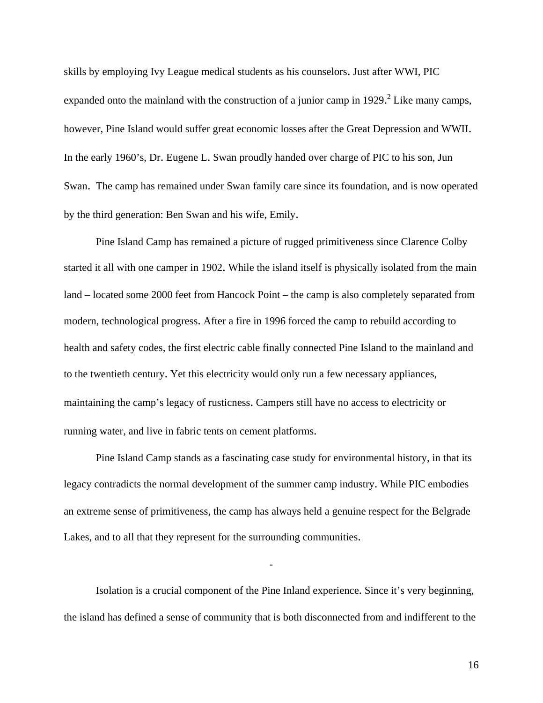skills by employing Ivy League medical students as his counselors. Just after WWI, PIC expanded onto the mainland with the construction of a junior camp in 1929.<sup>2</sup> Like many camps, however, Pine Island would suffer great economic losses after the Great Depression and WWII. In the early 1960's, Dr. Eugene L. Swan proudly handed over charge of PIC to his son, Jun Swan. The camp has remained under Swan family care since its foundation, and is now operated by the third generation: Ben Swan and his wife, Emily.

 Pine Island Camp has remained a picture of rugged primitiveness since Clarence Colby started it all with one camper in 1902. While the island itself is physically isolated from the main land – located some 2000 feet from Hancock Point – the camp is also completely separated from modern, technological progress. After a fire in 1996 forced the camp to rebuild according to health and safety codes, the first electric cable finally connected Pine Island to the mainland and to the twentieth century. Yet this electricity would only run a few necessary appliances, maintaining the camp's legacy of rusticness. Campers still have no access to electricity or running water, and live in fabric tents on cement platforms.

 Pine Island Camp stands as a fascinating case study for environmental history, in that its legacy contradicts the normal development of the summer camp industry. While PIC embodies an extreme sense of primitiveness, the camp has always held a genuine respect for the Belgrade Lakes, and to all that they represent for the surrounding communities.

 Isolation is a crucial component of the Pine Inland experience. Since it's very beginning, the island has defined a sense of community that is both disconnected from and indifferent to the

-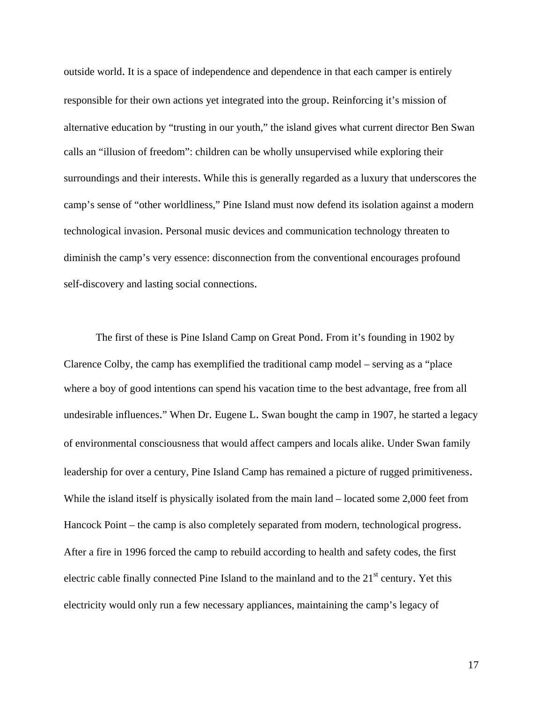outside world. It is a space of independence and dependence in that each camper is entirely responsible for their own actions yet integrated into the group. Reinforcing it's mission of alternative education by "trusting in our youth," the island gives what current director Ben Swan calls an "illusion of freedom": children can be wholly unsupervised while exploring their surroundings and their interests. While this is generally regarded as a luxury that underscores the camp's sense of "other worldliness," Pine Island must now defend its isolation against a modern technological invasion. Personal music devices and communication technology threaten to diminish the camp's very essence: disconnection from the conventional encourages profound self-discovery and lasting social connections.

The first of these is Pine Island Camp on Great Pond. From it's founding in 1902 by Clarence Colby, the camp has exemplified the traditional camp model – serving as a "place where a boy of good intentions can spend his vacation time to the best advantage, free from all undesirable influences." When Dr. Eugene L. Swan bought the camp in 1907, he started a legacy of environmental consciousness that would affect campers and locals alike. Under Swan family leadership for over a century, Pine Island Camp has remained a picture of rugged primitiveness. While the island itself is physically isolated from the main land – located some 2,000 feet from Hancock Point – the camp is also completely separated from modern, technological progress. After a fire in 1996 forced the camp to rebuild according to health and safety codes, the first electric cable finally connected Pine Island to the mainland and to the  $21<sup>st</sup>$  century. Yet this electricity would only run a few necessary appliances, maintaining the camp's legacy of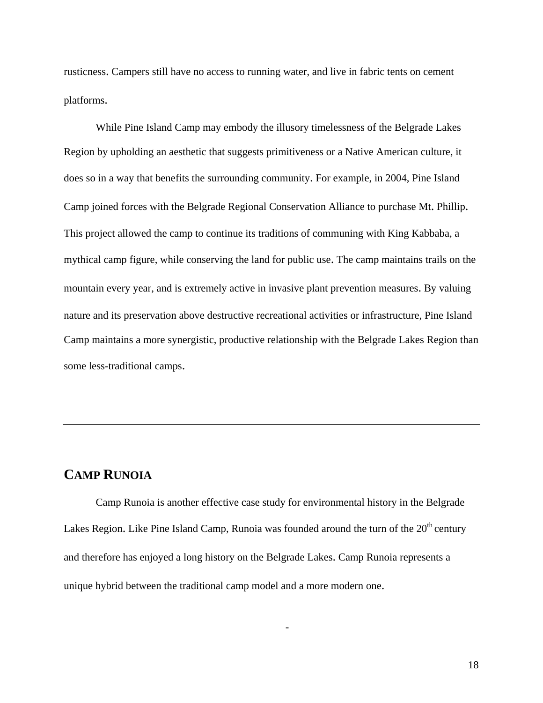rusticness. Campers still have no access to running water, and live in fabric tents on cement platforms.

 While Pine Island Camp may embody the illusory timelessness of the Belgrade Lakes Region by upholding an aesthetic that suggests primitiveness or a Native American culture, it does so in a way that benefits the surrounding community. For example, in 2004, Pine Island Camp joined forces with the Belgrade Regional Conservation Alliance to purchase Mt. Phillip. This project allowed the camp to continue its traditions of communing with King Kabbaba, a mythical camp figure, while conserving the land for public use. The camp maintains trails on the mountain every year, and is extremely active in invasive plant prevention measures. By valuing nature and its preservation above destructive recreational activities or infrastructure, Pine Island Camp maintains a more synergistic, productive relationship with the Belgrade Lakes Region than some less-traditional camps.

# **CAMP RUNOIA**

Camp Runoia is another effective case study for environmental history in the Belgrade Lakes Region. Like Pine Island Camp, Runoia was founded around the turn of the 20<sup>th</sup> century and therefore has enjoyed a long history on the Belgrade Lakes. Camp Runoia represents a unique hybrid between the traditional camp model and a more modern one.

-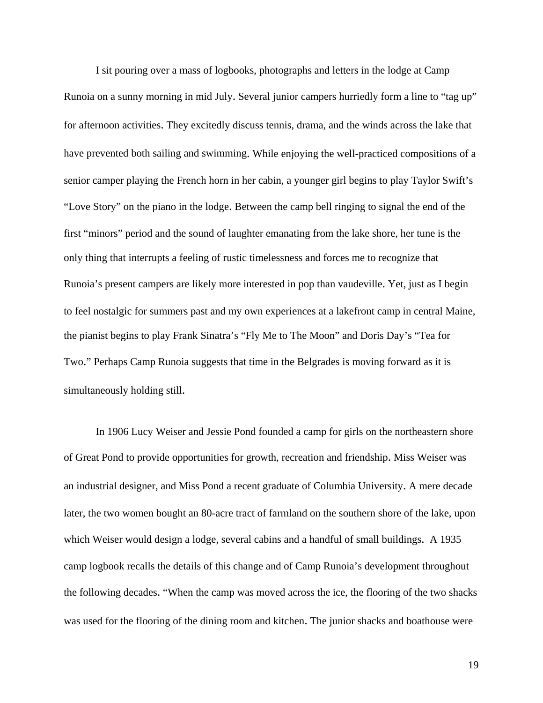I sit pouring over a mass of logbooks, photographs and letters in the lodge at Camp Runoia on a sunny morning in mid July. Several junior campers hurriedly form a line to "tag up" for afternoon activities. They excitedly discuss tennis, drama, and the winds across the lake that have prevented both sailing and swimming. While enjoying the well-practiced compositions of a senior camper playing the French horn in her cabin, a younger girl begins to play Taylor Swift's "Love Story" on the piano in the lodge. Between the camp bell ringing to signal the end of the first "minors" period and the sound of laughter emanating from the lake shore, her tune is the only thing that interrupts a feeling of rustic timelessness and forces me to recognize that Runoia's present campers are likely more interested in pop than vaudeville. Yet, just as I begin to feel nostalgic for summers past and my own experiences at a lakefront camp in central Maine, the pianist begins to play Frank Sinatra's "Fly Me to The Moon" and Doris Day's "Tea for Two." Perhaps Camp Runoia suggests that time in the Belgrades is moving forward as it is simultaneously holding still.

In 1906 Lucy Weiser and Jessie Pond founded a camp for girls on the northeastern shore of Great Pond to provide opportunities for growth, recreation and friendship. Miss Weiser was an industrial designer, and Miss Pond a recent graduate of Columbia University. A mere decade later, the two women bought an 80-acre tract of farmland on the southern shore of the lake, upon which Weiser would design a lodge, several cabins and a handful of small buildings. A 1935 camp logbook recalls the details of this change and of Camp Runoia's development throughout the following decades. "When the camp was moved across the ice, the flooring of the two shacks was used for the flooring of the dining room and kitchen. The junior shacks and boathouse were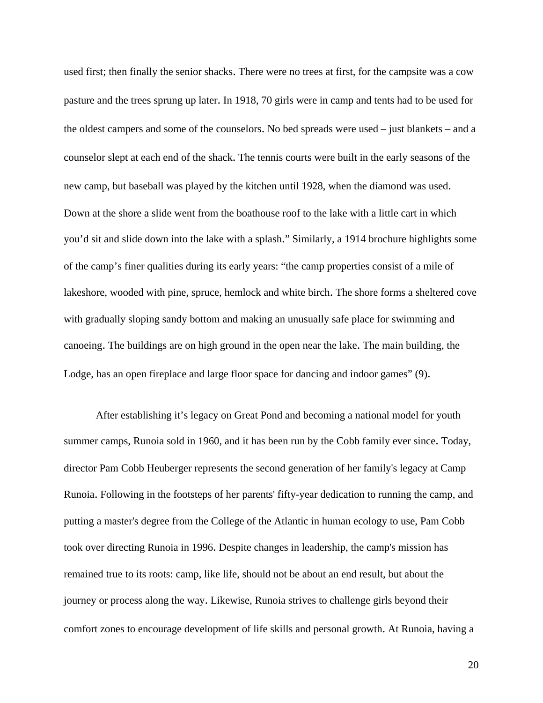used first; then finally the senior shacks. There were no trees at first, for the campsite was a cow pasture and the trees sprung up later. In 1918, 70 girls were in camp and tents had to be used for the oldest campers and some of the counselors. No bed spreads were used – just blankets – and a counselor slept at each end of the shack. The tennis courts were built in the early seasons of the new camp, but baseball was played by the kitchen until 1928, when the diamond was used. Down at the shore a slide went from the boathouse roof to the lake with a little cart in which you'd sit and slide down into the lake with a splash." Similarly, a 1914 brochure highlights some of the camp's finer qualities during its early years: "the camp properties consist of a mile of lakeshore, wooded with pine, spruce, hemlock and white birch. The shore forms a sheltered cove with gradually sloping sandy bottom and making an unusually safe place for swimming and canoeing. The buildings are on high ground in the open near the lake. The main building, the Lodge, has an open fireplace and large floor space for dancing and indoor games" (9).

After establishing it's legacy on Great Pond and becoming a national model for youth summer camps, Runoia sold in 1960, and it has been run by the Cobb family ever since. Today, director Pam Cobb Heuberger represents the second generation of her family's legacy at Camp Runoia. Following in the footsteps of her parents' fifty-year dedication to running the camp, and putting a master's degree from the College of the Atlantic in human ecology to use, Pam Cobb took over directing Runoia in 1996. Despite changes in leadership, the camp's mission has remained true to its roots: camp, like life, should not be about an end result, but about the journey or process along the way. Likewise, Runoia strives to challenge girls beyond their comfort zones to encourage development of life skills and personal growth. At Runoia, having a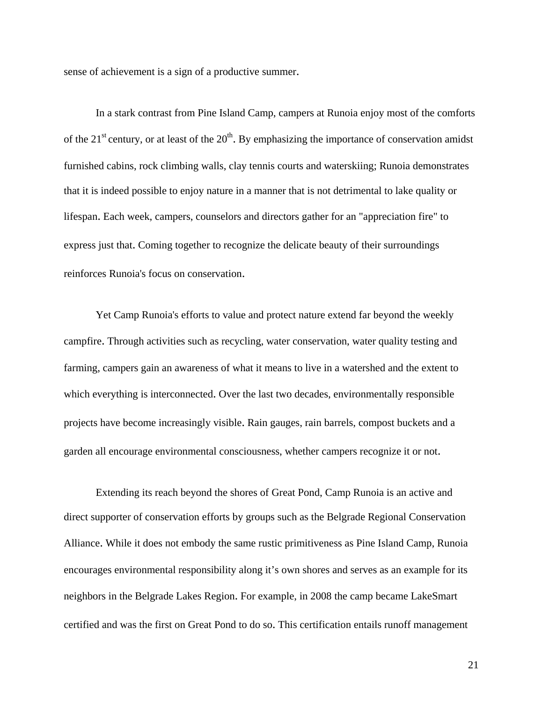sense of achievement is a sign of a productive summer.

In a stark contrast from Pine Island Camp, campers at Runoia enjoy most of the comforts of the  $21^{st}$  century, or at least of the  $20^{th}$ . By emphasizing the importance of conservation amidst furnished cabins, rock climbing walls, clay tennis courts and waterskiing; Runoia demonstrates that it is indeed possible to enjoy nature in a manner that is not detrimental to lake quality or lifespan. Each week, campers, counselors and directors gather for an "appreciation fire" to express just that. Coming together to recognize the delicate beauty of their surroundings reinforces Runoia's focus on conservation.

Yet Camp Runoia's efforts to value and protect nature extend far beyond the weekly campfire. Through activities such as recycling, water conservation, water quality testing and farming, campers gain an awareness of what it means to live in a watershed and the extent to which everything is interconnected. Over the last two decades, environmentally responsible projects have become increasingly visible. Rain gauges, rain barrels, compost buckets and a garden all encourage environmental consciousness, whether campers recognize it or not.

Extending its reach beyond the shores of Great Pond, Camp Runoia is an active and direct supporter of conservation efforts by groups such as the Belgrade Regional Conservation Alliance. While it does not embody the same rustic primitiveness as Pine Island Camp, Runoia encourages environmental responsibility along it's own shores and serves as an example for its neighbors in the Belgrade Lakes Region. For example, in 2008 the camp became LakeSmart certified and was the first on Great Pond to do so. This certification entails runoff management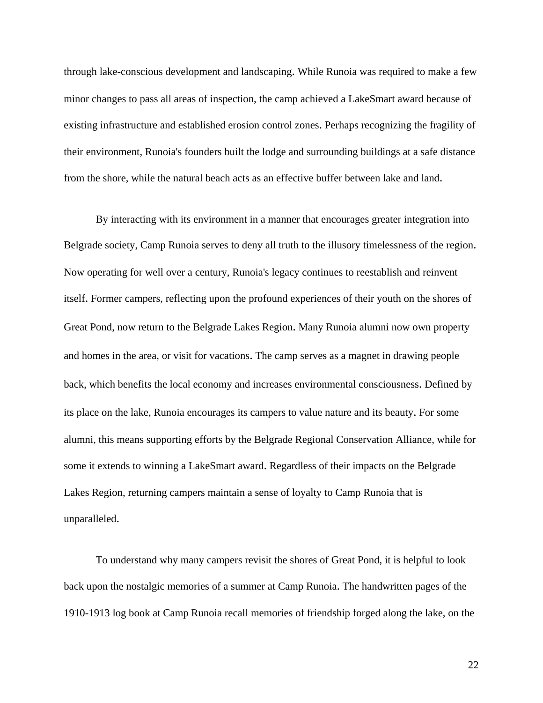through lake-conscious development and landscaping. While Runoia was required to make a few minor changes to pass all areas of inspection, the camp achieved a LakeSmart award because of existing infrastructure and established erosion control zones. Perhaps recognizing the fragility of their environment, Runoia's founders built the lodge and surrounding buildings at a safe distance from the shore, while the natural beach acts as an effective buffer between lake and land.

By interacting with its environment in a manner that encourages greater integration into Belgrade society, Camp Runoia serves to deny all truth to the illusory timelessness of the region. Now operating for well over a century, Runoia's legacy continues to reestablish and reinvent itself. Former campers, reflecting upon the profound experiences of their youth on the shores of Great Pond, now return to the Belgrade Lakes Region. Many Runoia alumni now own property and homes in the area, or visit for vacations. The camp serves as a magnet in drawing people back, which benefits the local economy and increases environmental consciousness. Defined by its place on the lake, Runoia encourages its campers to value nature and its beauty. For some alumni, this means supporting efforts by the Belgrade Regional Conservation Alliance, while for some it extends to winning a LakeSmart award. Regardless of their impacts on the Belgrade Lakes Region, returning campers maintain a sense of loyalty to Camp Runoia that is unparalleled.

To understand why many campers revisit the shores of Great Pond, it is helpful to look back upon the nostalgic memories of a summer at Camp Runoia. The handwritten pages of the 1910-1913 log book at Camp Runoia recall memories of friendship forged along the lake, on the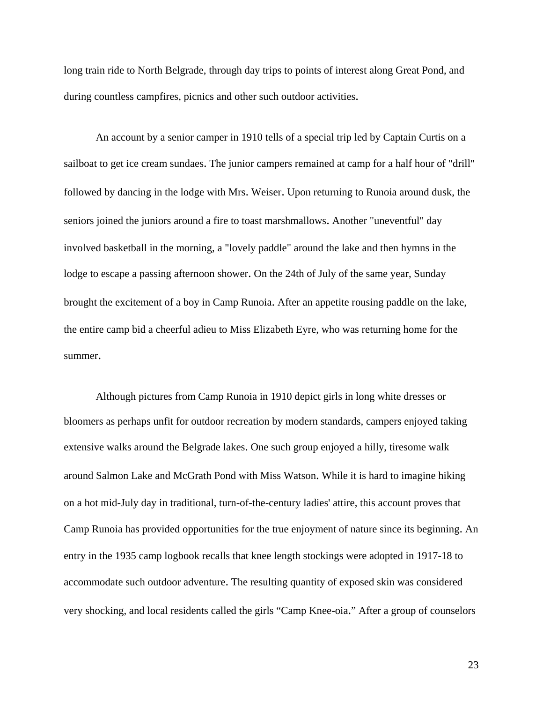long train ride to North Belgrade, through day trips to points of interest along Great Pond, and during countless campfires, picnics and other such outdoor activities.

An account by a senior camper in 1910 tells of a special trip led by Captain Curtis on a sailboat to get ice cream sundaes. The junior campers remained at camp for a half hour of "drill" followed by dancing in the lodge with Mrs. Weiser. Upon returning to Runoia around dusk, the seniors joined the juniors around a fire to toast marshmallows. Another "uneventful" day involved basketball in the morning, a "lovely paddle" around the lake and then hymns in the lodge to escape a passing afternoon shower. On the 24th of July of the same year, Sunday brought the excitement of a boy in Camp Runoia. After an appetite rousing paddle on the lake, the entire camp bid a cheerful adieu to Miss Elizabeth Eyre, who was returning home for the summer.

Although pictures from Camp Runoia in 1910 depict girls in long white dresses or bloomers as perhaps unfit for outdoor recreation by modern standards, campers enjoyed taking extensive walks around the Belgrade lakes. One such group enjoyed a hilly, tiresome walk around Salmon Lake and McGrath Pond with Miss Watson. While it is hard to imagine hiking on a hot mid-July day in traditional, turn-of-the-century ladies' attire, this account proves that Camp Runoia has provided opportunities for the true enjoyment of nature since its beginning. An entry in the 1935 camp logbook recalls that knee length stockings were adopted in 1917-18 to accommodate such outdoor adventure. The resulting quantity of exposed skin was considered very shocking, and local residents called the girls "Camp Knee-oia." After a group of counselors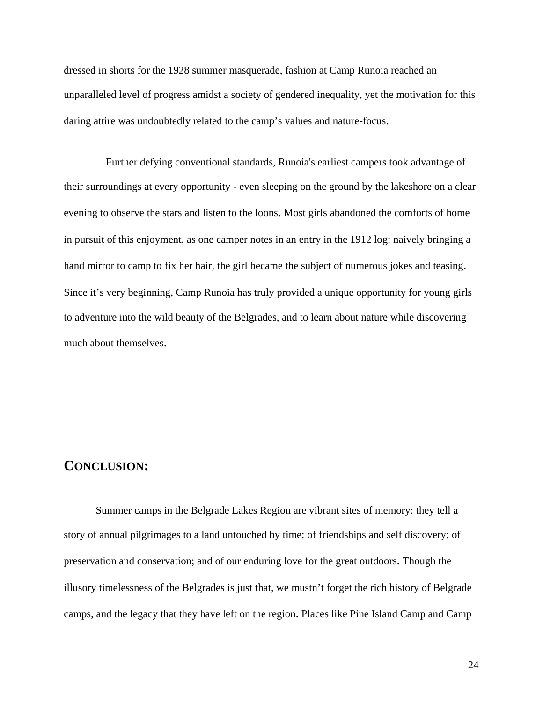dressed in shorts for the 1928 summer masquerade, fashion at Camp Runoia reached an unparalleled level of progress amidst a society of gendered inequality, yet the motivation for this daring attire was undoubtedly related to the camp's values and nature-focus.

Further defying conventional standards, Runoia's earliest campers took advantage of their surroundings at every opportunity - even sleeping on the ground by the lakeshore on a clear evening to observe the stars and listen to the loons. Most girls abandoned the comforts of home in pursuit of this enjoyment, as one camper notes in an entry in the 1912 log: naively bringing a hand mirror to camp to fix her hair, the girl became the subject of numerous jokes and teasing. Since it's very beginning, Camp Runoia has truly provided a unique opportunity for young girls to adventure into the wild beauty of the Belgrades, and to learn about nature while discovering much about themselves.

# **CONCLUSION:**

Summer camps in the Belgrade Lakes Region are vibrant sites of memory: they tell a story of annual pilgrimages to a land untouched by time; of friendships and self discovery; of preservation and conservation; and of our enduring love for the great outdoors. Though the illusory timelessness of the Belgrades is just that, we mustn't forget the rich history of Belgrade camps, and the legacy that they have left on the region. Places like Pine Island Camp and Camp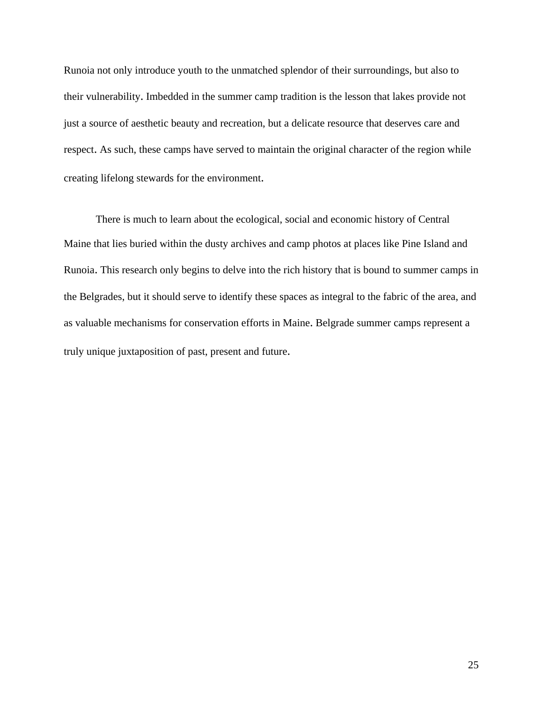Runoia not only introduce youth to the unmatched splendor of their surroundings, but also to their vulnerability. Imbedded in the summer camp tradition is the lesson that lakes provide not just a source of aesthetic beauty and recreation, but a delicate resource that deserves care and respect. As such, these camps have served to maintain the original character of the region while creating lifelong stewards for the environment.

There is much to learn about the ecological, social and economic history of Central Maine that lies buried within the dusty archives and camp photos at places like Pine Island and Runoia. This research only begins to delve into the rich history that is bound to summer camps in the Belgrades, but it should serve to identify these spaces as integral to the fabric of the area, and as valuable mechanisms for conservation efforts in Maine. Belgrade summer camps represent a truly unique juxtaposition of past, present and future.